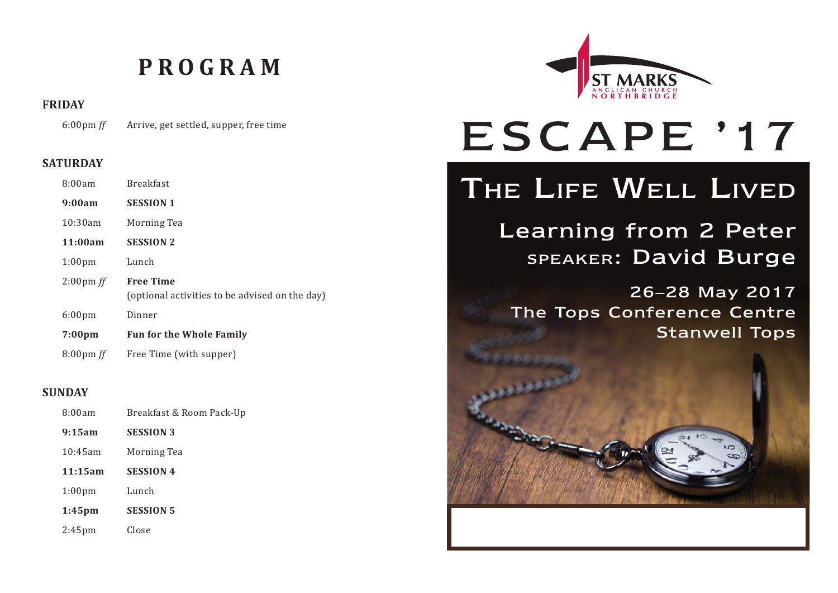# **PROGRAM**

**FRIDAY**

6:00pm *ff* Arrive, get settled, supper, free time

#### **SATURDAY**

| 8:00am              | <b>Breakfast</b>                                                   |
|---------------------|--------------------------------------------------------------------|
| 9:00am              | <b>SESSION 1</b>                                                   |
| 10:30am             | Morning Tea                                                        |
| 11:00am             | <b>SESSION 2</b>                                                   |
| 1:00 <sub>pm</sub>  | Lunch                                                              |
| $2:00 \text{pm}$ ff | <b>Free Time</b><br>(optional activities to be advised on the day) |
| 6:00 <sub>pm</sub>  | Dinner                                                             |
| $7:00 \text{pm}$    | <b>Fun for the Whole Family</b>                                    |
| $8:00 \text{pm}$ ff | Free Time (with supper)                                            |

#### **SUNDAY**

| 8:00am             | Breakfast & Room Pack-Up |
|--------------------|--------------------------|
| 9:15am             | <b>SESSION 3</b>         |
| 10:45am            | Morning Tea              |
| 11:15am            | <b>SESSION 4</b>         |
| 1:00 <sub>pm</sub> | Lunch                    |
| $1:45$ pm          | <b>SESSION 5</b>         |
| $2:45$ pm          | Close                    |



# ESCAPE '17

# THE LIFE WELL LIVED

Learning from 2 Peter SPEAKER: David Burge

26–28 May 2017 The Tops Conference Centre Stanwell Tops

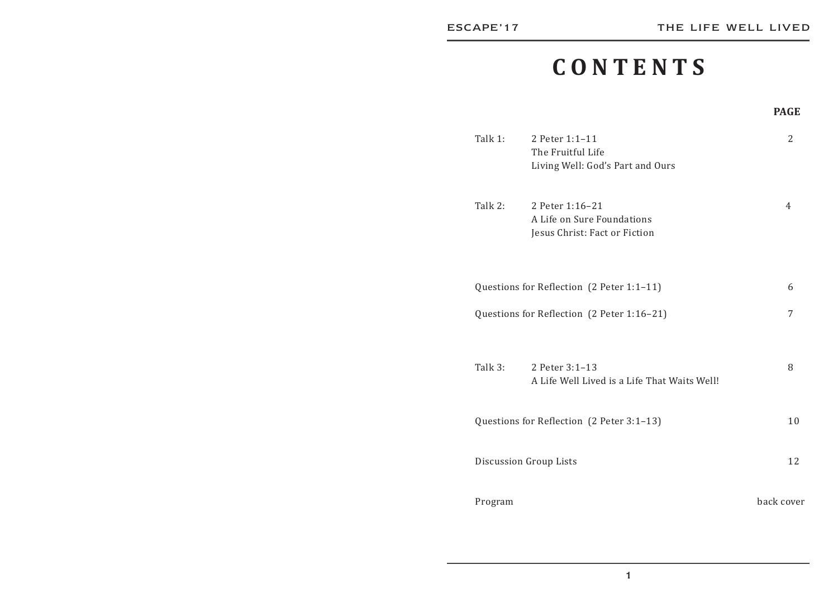# **CONTENTS**

#### **PAGEPAGE**

| Talk 1:                                    | 2 Peter 1:1-11<br>The Fruitful Life<br>Living Well: God's Part and Ours        | 2          |    |
|--------------------------------------------|--------------------------------------------------------------------------------|------------|----|
| Talk 2:                                    | 2 Peter 1:16-21<br>A Life on Sure Foundations<br>Jesus Christ: Fact or Fiction | 4          |    |
|                                            | Questions for Reflection (2 Peter 1:1-11)                                      | 6          |    |
| Questions for Reflection (2 Peter 1:16-21) |                                                                                | 7          |    |
| Talk $3:$                                  | 2 Peter 3:1-13<br>A Life Well Lived is a Life That Waits Well!                 | 8          |    |
|                                            | Questions for Reflection (2 Peter 3:1-13)                                      |            | 10 |
| Discussion Group Lists                     |                                                                                |            | 12 |
| Program                                    |                                                                                | back cover |    |

1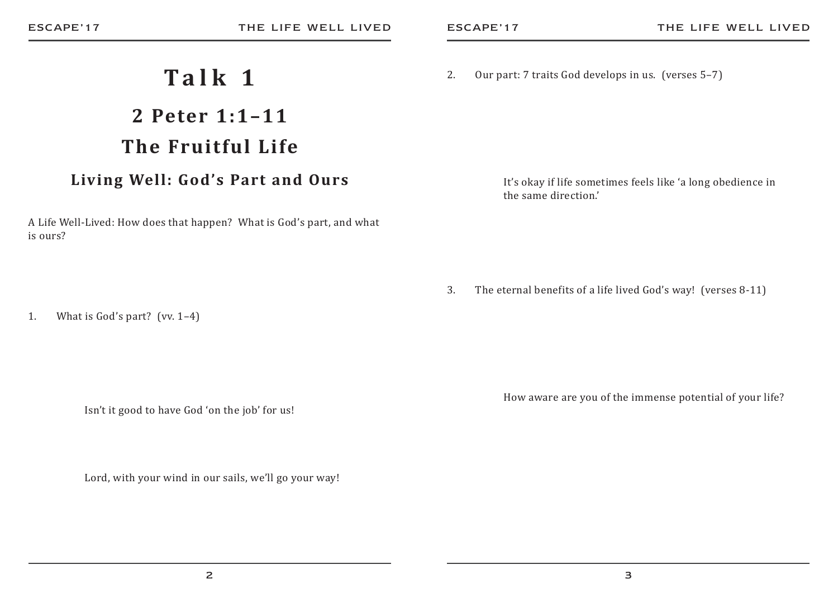2. Our part: 7 traits God develops in us. (verses 5–7)

 It's okay if life sometimes feels like 'a long obedience in the same direction.'

3. The eternal benefits of a life lived God's way! (verses 8-11)

How aware are you of the immense potential of your life?

A Life Well-Lived: How does that happen? What is God's part, and what is ours?

**Talk 1**

**2 Peter 1:1–11**

**The Fruitful Life**

**Living Well: God's Part and Ours**

1. What is God's part? (vv. 1–4)

Isn't it good to have God 'on the job' for us!

Lord, with your wind in our sails, we'll go your way!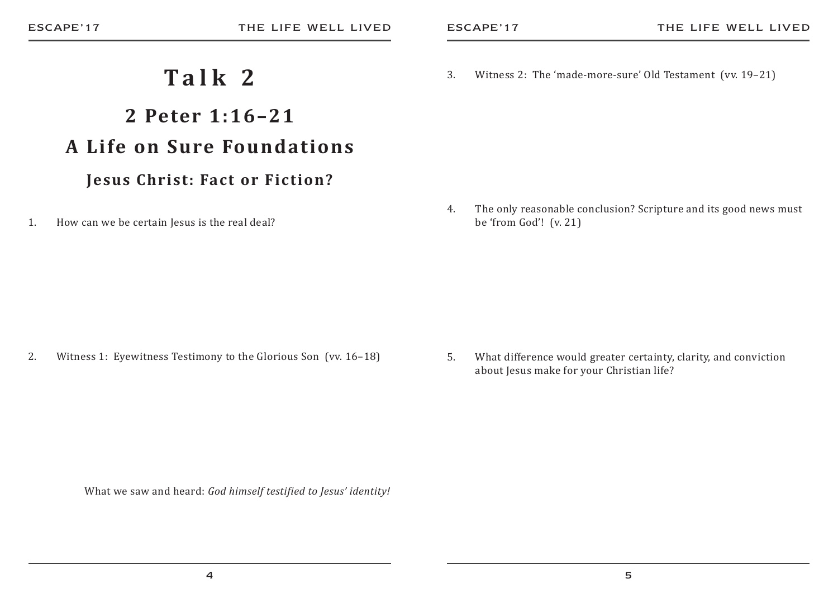## **Talk 2**

# **2 Peter 1:16–21A Life on Sure Foundations**

#### **Jesus Christ: Fact or Fiction?**

1. How can we be certain Jesus is the real deal?

3. Witness 2: The 'made-more-sure' Old Testament (vv. 19–21)

4. The only reasonable conclusion? Scripture and its good news must be 'from God'! (v. 21)

2. Witness 1: Eyewitness Testimony to the Glorious Son (vv. 16–18)

5. What difference would greater certainty, clarity, and conviction about Jesus make for your Christian life?

What we saw and heard: *God himself testified to Jesus' identity!*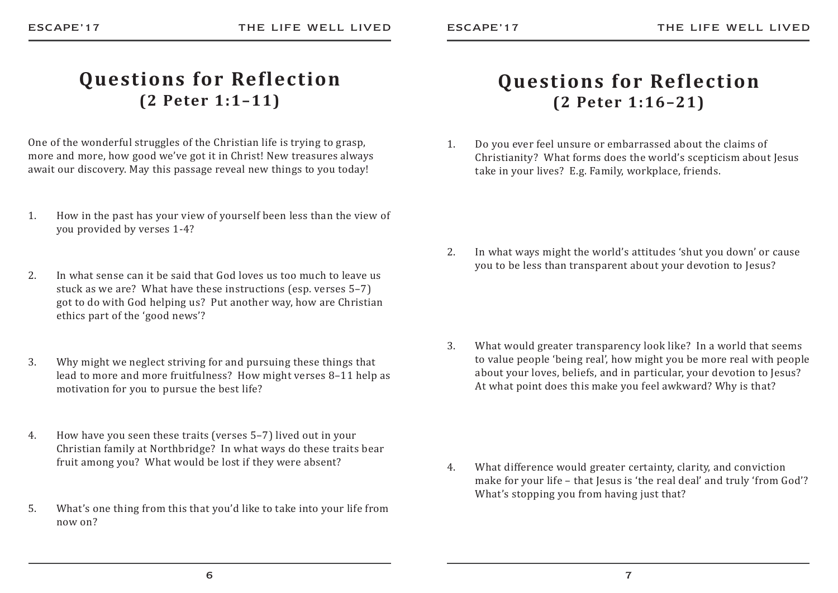#### **Questions for Reflection (2 Peter 1:1–11)**

One of the wonderful struggles of the Christian life is trying to grasp, more and more, how good we've got it in Christ! New treasures always await our discovery. May this passage reveal new things to you today!

- 1. How in the past has your view of yourself been less than the view of you provided by verses 1-4?
- 2. In what sense can it be said that God loves us too much to leave us stuck as we are? What have these instructions (esp. verses 5–7) got to do with God helping us? Put another way, how are Christian ethics part of the 'good news'?
- 3. Why might we neglect striving for and pursuing these things that lead to more and more fruitfulness? How might verses 8–11 help as motivation for you to pursue the best life?
- 4. How have you seen these traits (verses 5–7) lived out in your Christian family at Northbridge? In what ways do these traits bear fruit among you? What would be lost if they were absent?
- 5. What's one thing from this that you'd like to take into your life from now on?

#### **Questions for Reflection (2 Peter 1:16–21)**

1. Do you ever feel unsure or embarrassed about the claims of Christianity? What forms does the world's scepticism about Jesus take in your lives? E.g. Family, workplace, friends.

2. In what ways might the world's attitudes 'shut you down' or cause you to be less than transparent about your devotion to Jesus?

3. What would greater transparency look like? In a world that seems to value people 'being real', how might you be more real with people about your loves, beliefs, and in particular, your devotion to Jesus? At what point does this make you feel awkward? Why is that?

4. What difference would greater certainty, clarity, and conviction make for your life – that Jesus is 'the real deal' and truly 'from God'? What's stopping you from having just that?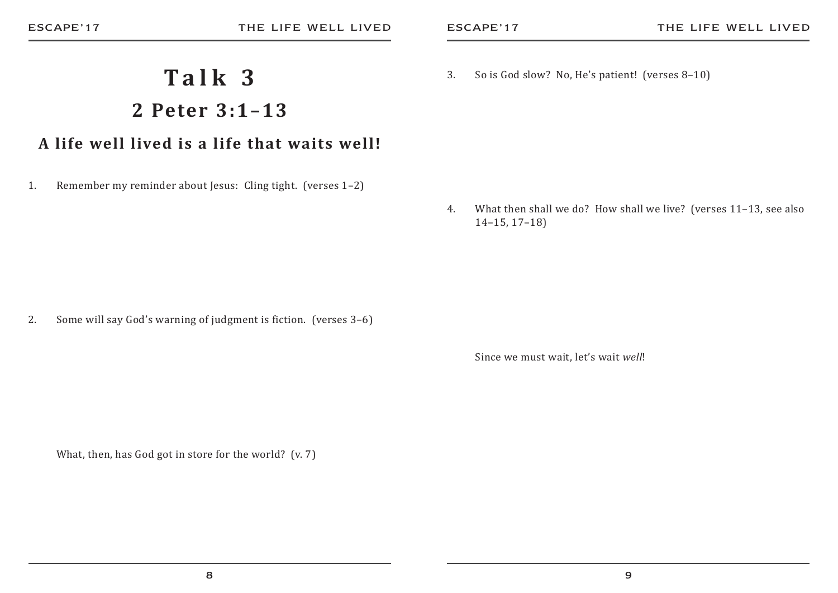#### 3. So is God slow? No, He's patient! (verses 8–10)

**Talk 3**

**2 Peter 3:1–13**

**A life well lived is a life that waits well!**

1. Remember my reminder about Jesus: Cling tight. (verses 1–2)

4. What then shall we do? How shall we live? (verses 11–13, see also 14–15, 17–18)

2. Some will say God's warning of judgment is fiction. (verses 3–6)

Since we must wait, let's wait *well*!

What, then, has God got in store for the world? (v. 7)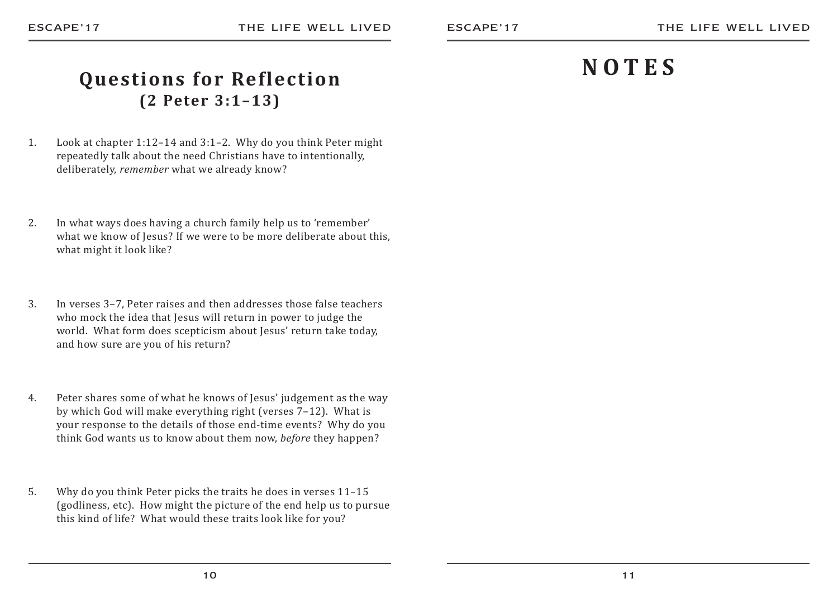# **NOTES**

### **Questions for Reflection (2 Peter 3:1–13)**

- 1. Look at chapter 1:12–14 and 3:1–2. Why do you think Peter might repeatedly talk about the need Christians have to intentionally, deliberately, *remember* what we already know?
- 2. In what ways does having a church family help us to 'remember' what we know of Jesus? If we were to be more deliberate about this, what might it look like?
- 3. In verses 3–7, Peter raises and then addresses those false teachers who mock the idea that Jesus will return in power to judge the world. What form does scepticism about Jesus' return take today, and how sure are you of his return?
- 4. Peter shares some of what he knows of Jesus' judgement as the way by which God will make everything right (verses 7–12). What is your response to the details of those end-time events? Why do you think God wants us to know about them now, *before* they happen?
- 5. Why do you think Peter picks the traits he does in verses 11–15 (godliness, etc). How might the picture of the end help us to pursue this kind of life? What would these traits look like for you?